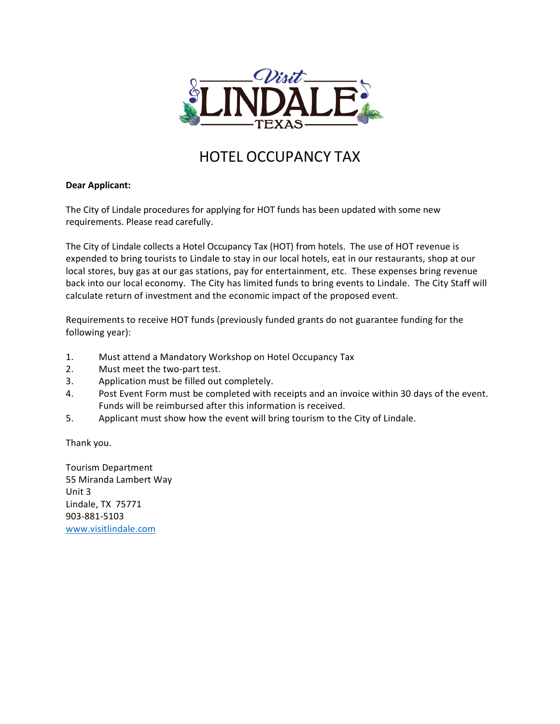

## HOTEL OCCUPANCY TAX

#### **Dear Applicant:**

The City of Lindale procedures for applying for HOT funds has been updated with some new requirements. Please read carefully.

The City of Lindale collects a Hotel Occupancy Tax (HOT) from hotels. The use of HOT revenue is expended to bring tourists to Lindale to stay in our local hotels, eat in our restaurants, shop at our local stores, buy gas at our gas stations, pay for entertainment, etc. These expenses bring revenue back into our local economy. The City has limited funds to bring events to Lindale. The City Staff will calculate return of investment and the economic impact of the proposed event.

Requirements to receive HOT funds (previously funded grants do not guarantee funding for the following year):

- 1. Must attend a Mandatory Workshop on Hotel Occupancy Tax
- 2. Must meet the two-part test.
- 3. Application must be filled out completely.
- 4. Post Event Form must be completed with receipts and an invoice within 30 days of the event. Funds will be reimbursed after this information is received.
- 5. Applicant must show how the event will bring tourism to the City of Lindale.

Thank you.

Tourism Department 55 Miranda Lambert Way Unit 3 Lindale, TX 75771 903-881-5103 [www.visitlindale.com](http://www.visitlindale.com/)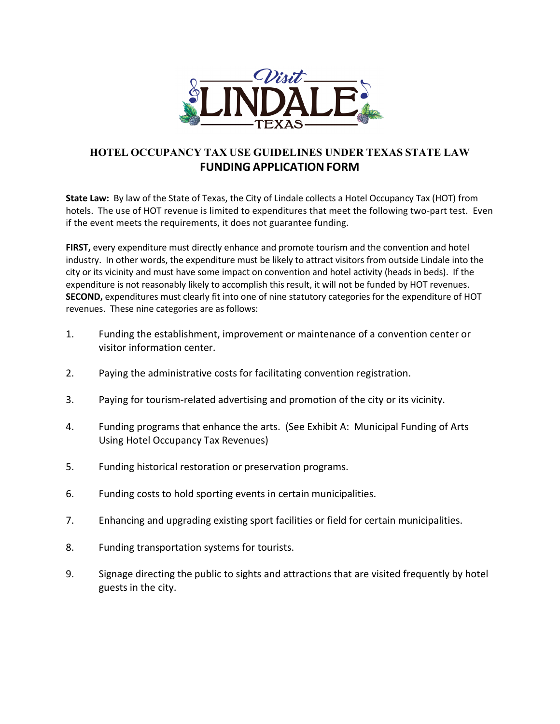

### **HOTEL OCCUPANCY TAX USE GUIDELINES UNDER TEXAS STATE LAW FUNDING APPLICATION FORM**

**State Law:** By law of the State of Texas, the City of Lindale collects a Hotel Occupancy Tax (HOT) from hotels. The use of HOT revenue is limited to expenditures that meet the following two-part test. Even if the event meets the requirements, it does not guarantee funding.

**FIRST,** every expenditure must directly enhance and promote tourism and the convention and hotel industry. In other words, the expenditure must be likely to attract visitors from outside Lindale into the city or its vicinity and must have some impact on convention and hotel activity (heads in beds). If the expenditure is not reasonably likely to accomplish this result, it will not be funded by HOT revenues. **SECOND,** expenditures must clearly fit into one of nine statutory categories for the expenditure of HOT revenues. These nine categories are as follows:

- 1. Funding the establishment, improvement or maintenance of a convention center or visitor information center.
- 2. Paying the administrative costs for facilitating convention registration.
- 3. Paying for tourism-related advertising and promotion of the city or its vicinity.
- 4. Funding programs that enhance the arts. (See Exhibit A: Municipal Funding of Arts Using Hotel Occupancy Tax Revenues)
- 5. Funding historical restoration or preservation programs.
- 6. Funding costs to hold sporting events in certain municipalities.
- 7. Enhancing and upgrading existing sport facilities or field for certain municipalities.
- 8. Funding transportation systems for tourists.
- 9. Signage directing the public to sights and attractions that are visited frequently by hotel guests in the city.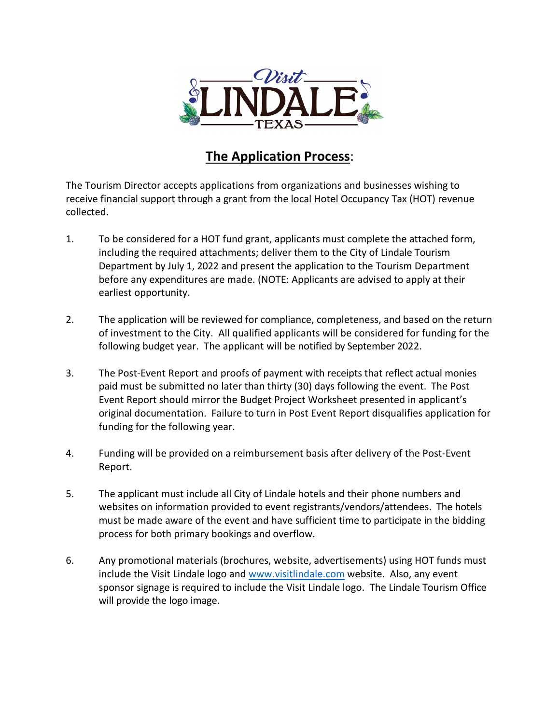

## **The Application Process**:

The Tourism Director accepts applications from organizations and businesses wishing to receive financial support through a grant from the local Hotel Occupancy Tax (HOT) revenue collected.

- 1. To be considered for a HOT fund grant, applicants must complete the attached form, including the required attachments; deliver them to the City of Lindale Tourism Department by July 1, 2022 and present the application to the Tourism Department before any expenditures are made. (NOTE: Applicants are advised to apply at their earliest opportunity.
- 2. The application will be reviewed for compliance, completeness, and based on the return of investment to the City. All qualified applicants will be considered for funding for the following budget year. The applicant will be notified by September 2022.
- 3. The Post-Event Report and proofs of payment with receipts that reflect actual monies paid must be submitted no later than thirty (30) days following the event. The Post Event Report should mirror the Budget Project Worksheet presented in applicant's original documentation. Failure to turn in Post Event Report disqualifies application for funding for the following year.
- 4. Funding will be provided on a reimbursement basis after delivery of the Post-Event Report.
- 5. The applicant must include all City of Lindale hotels and their phone numbers and websites on information provided to event registrants/vendors/attendees. The hotels must be made aware of the event and have sufficient time to participate in the bidding process for both primary bookings and overflow.
- 6. Any promotional materials (brochures, website, advertisements) using HOT funds must include the Visit Lindale logo and www.visitlindale.com website. Also, any event sponsor signage is required to include the Visit Lindale logo. The Lindale Tourism Office will provide the logo image.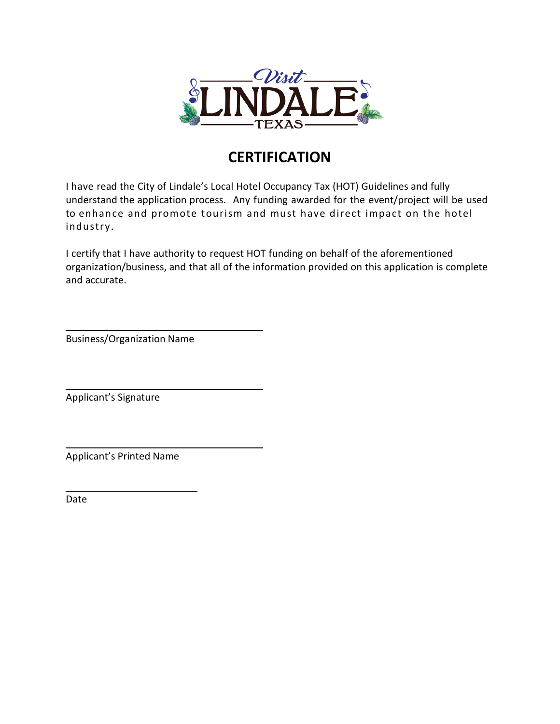

## **CERTIFICATION**

I have read the City of Lindale's Local Hotel Occupancy Tax (HOT) Guidelines and fully understand the application process. Any funding awarded for the event/project will be used to enhance and promote tourism and must have direct impact on the hotel industry.

I certify that I have authority to request HOT funding on behalf of the aforementioned organization/business, and that all of the information provided on this application is complete and accurate.

Business/Organization Name

Applicant's Signature

Applicant's Printed Name

Date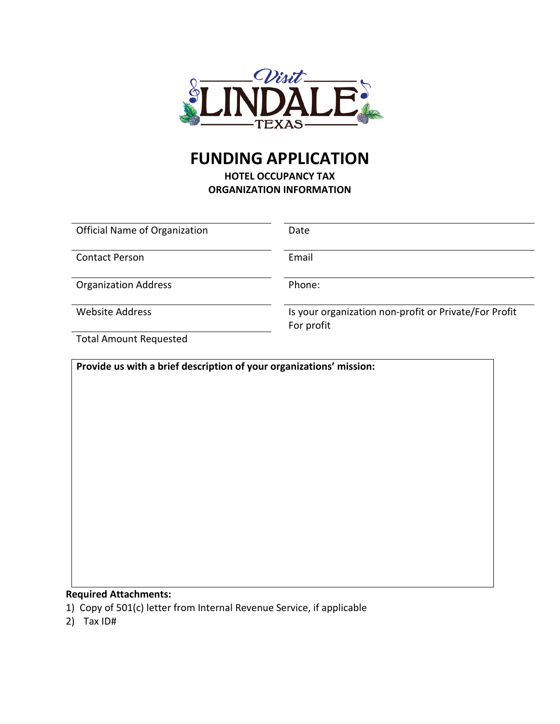

# **FUNDING APPLICATION**

**HOTEL OCCUPANCY TAX ORGANIZATION INFORMATION**

| <b>Official Name of Organization</b> | Date                                                                |
|--------------------------------------|---------------------------------------------------------------------|
| <b>Contact Person</b>                | Email                                                               |
| <b>Organization Address</b>          | Phone:                                                              |
| <b>Website Address</b>               | Is your organization non-profit or Private/For Profit<br>For profit |
| Total Amount Requested               |                                                                     |

Total Amount Requested

**Provide us with a brief description of your organizations' mission:**

#### **Required Attachments:**

- 1) Copy of 501(c) letter from Internal Revenue Service, if applicable
- 2) Tax ID#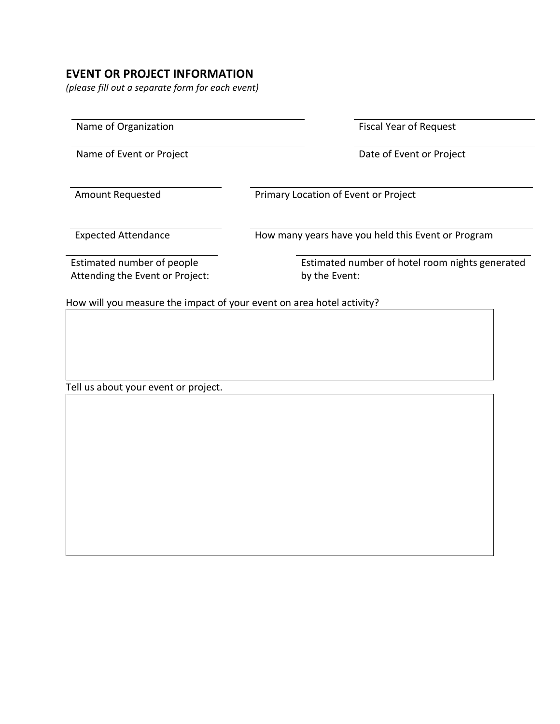## **EVENT OR PROJECT INFORMATION**

*(please fill out a separate form for each event)*

| Name of Organization       | <b>Fiscal Year of Request</b>                      |  |  |
|----------------------------|----------------------------------------------------|--|--|
| Name of Event or Project   | Date of Event or Project                           |  |  |
| Amount Requested           | Primary Location of Event or Project               |  |  |
| <b>Expected Attendance</b> | How many years have you held this Event or Program |  |  |
|                            | Estimated number of hotel room nights generated    |  |  |

Tell us about your event or project.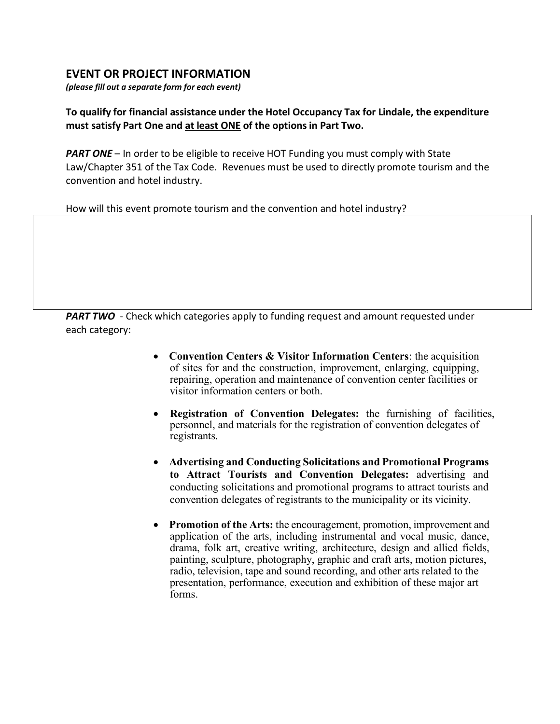### **EVENT OR PROJECT INFORMATION**

*(please fill out a separate form for each event)*

### **To qualify for financial assistance under the Hotel Occupancy Tax for Lindale, the expenditure must satisfy Part One and at least ONE of the options in Part Two.**

**PART ONE** – In order to be eligible to receive HOT Funding you must comply with State Law/Chapter 351 of the Tax Code. Revenues must be used to directly promote tourism and the convention and hotel industry.

How will this event promote tourism and the convention and hotel industry?

**PART TWO** - Check which categories apply to funding request and amount requested under each category:

- **Convention Centers & Visitor Information Centers**: the acquisition of sites for and the construction, improvement, enlarging, equipping, repairing, operation and maintenance of convention center facilities or visitor information centers or both.
- **Registration of Convention Delegates:** the furnishing of facilities, personnel, and materials for the registration of convention delegates of registrants.
- **Advertising and Conducting Solicitations and Promotional Programs to Attract Tourists and Convention Delegates:** advertising and conducting solicitations and promotional programs to attract tourists and convention delegates of registrants to the municipality or its vicinity.
- **Promotion of the Arts:** the encouragement, promotion, improvement and application of the arts, including instrumental and vocal music, dance, drama, folk art, creative writing, architecture, design and allied fields, painting, sculpture, photography, graphic and craft arts, motion pictures, radio, television, tape and sound recording, and other arts related to the presentation, performance, execution and exhibition of these major art forms.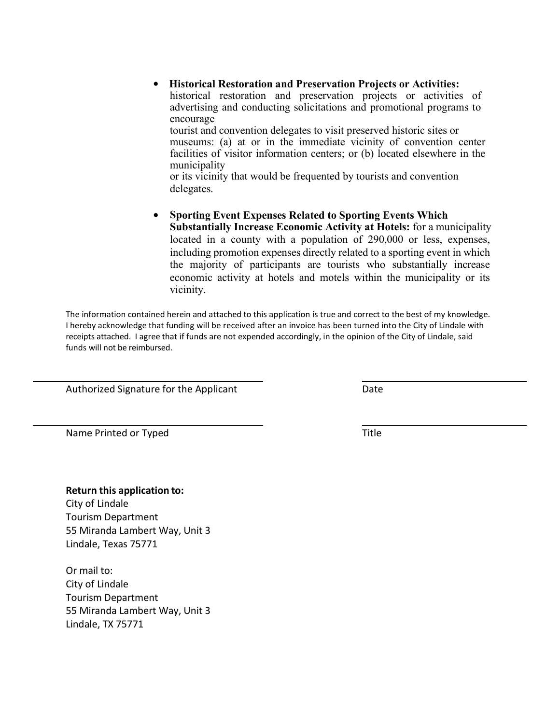• **Historical Restoration and Preservation Projects or Activities:** historical restoration and preservation projects or activities of advertising and conducting solicitations and promotional programs to encourage tourist and convention delegates to visit preserved historic sites or museums: (a) at or in the immediate vicinity of convention center facilities of visitor information centers; or (b) located elsewhere in the municipality

or its vicinity that would be frequented by tourists and convention delegates.

• **Sporting Event Expenses Related to Sporting Events Which Substantially Increase Economic Activity at Hotels:** for a municipality located in a county with a population of 290,000 or less, expenses, including promotion expenses directly related to a sporting event in which the majority of participants are tourists who substantially increase economic activity at hotels and motels within the municipality or its vicinity.

The information contained herein and attached to this application is true and correct to the best of my knowledge. I hereby acknowledge that funding will be received after an invoice has been turned into the City of Lindale with receipts attached. I agree that if funds are not expended accordingly, in the opinion of the City of Lindale, said funds will not be reimbursed.

Authorized Signature for the Applicant Date Date

Name Printed or Typed Title

#### **Return this application to:**

City of Lindale Tourism Department 55 Miranda Lambert Way, Unit 3 Lindale, Texas 75771

Or mail to: City of Lindale Tourism Department 55 Miranda Lambert Way, Unit 3 Lindale, TX 75771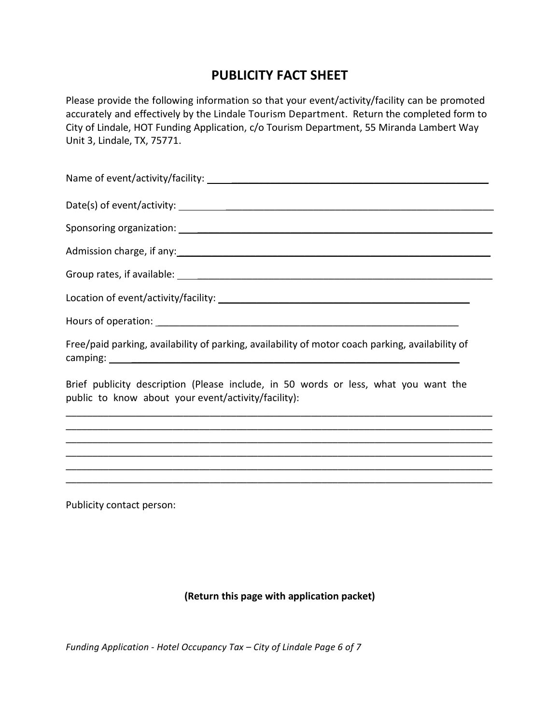## **PUBLICITY FACT SHEET**

Please provide the following information so that your event/activity/facility can be promoted accurately and effectively by the Lindale Tourism Department. Return the completed form to City of Lindale, HOT Funding Application, c/o Tourism Department, 55 Miranda Lambert Way Unit 3, Lindale, TX, 75771.

| Admission charge, if any:<br>and the contract of the contract of the contract of the contract of the contract of the contract of the contract of the contract of the contract of the contract of the contract of the contract of |
|----------------------------------------------------------------------------------------------------------------------------------------------------------------------------------------------------------------------------------|
|                                                                                                                                                                                                                                  |
|                                                                                                                                                                                                                                  |
|                                                                                                                                                                                                                                  |
| Free/paid parking, availability of parking, availability of motor coach parking, availability of                                                                                                                                 |
| Referentiated accrition (Blogge include in 50 words or loss what you want the                                                                                                                                                    |

Brief publicity description (Please include, in 50 words or less, what you want the public to know about your event/activity/facility):

\_\_\_\_\_\_\_\_\_\_\_\_\_\_\_\_\_\_\_\_\_\_\_\_\_\_\_\_\_\_\_\_\_\_\_\_\_\_\_\_\_\_\_\_\_\_\_\_\_\_\_\_\_\_\_\_\_\_\_\_\_\_\_\_\_\_\_\_\_\_\_\_\_\_\_\_\_\_\_\_

\_\_\_\_\_\_\_\_\_\_\_\_\_\_\_\_\_\_\_\_\_\_\_\_\_\_\_\_\_\_\_\_\_\_\_\_\_\_\_\_\_\_\_\_\_\_\_\_\_\_\_\_\_\_\_\_\_\_\_\_\_\_\_\_\_\_\_\_\_\_\_\_\_\_\_\_\_\_\_\_ \_\_\_\_\_\_\_\_\_\_\_\_\_\_\_\_\_\_\_\_\_\_\_\_\_\_\_\_\_\_\_\_\_\_\_\_\_\_\_\_\_\_\_\_\_\_\_\_\_\_\_\_\_\_\_\_\_\_\_\_\_\_\_\_\_\_\_\_\_\_\_\_\_\_\_\_\_\_\_\_ \_\_\_\_\_\_\_\_\_\_\_\_\_\_\_\_\_\_\_\_\_\_\_\_\_\_\_\_\_\_\_\_\_\_\_\_\_\_\_\_\_\_\_\_\_\_\_\_\_\_\_\_\_\_\_\_\_\_\_\_\_\_\_\_\_\_\_\_\_\_\_\_\_\_\_\_\_\_\_\_ \_\_\_\_\_\_\_\_\_\_\_\_\_\_\_\_\_\_\_\_\_\_\_\_\_\_\_\_\_\_\_\_\_\_\_\_\_\_\_\_\_\_\_\_\_\_\_\_\_\_\_\_\_\_\_\_\_\_\_\_\_\_\_\_\_\_\_\_\_\_\_\_\_\_\_\_\_\_\_\_

\_\_\_\_\_\_\_\_\_\_\_\_\_\_\_\_\_\_\_\_\_\_\_\_\_\_\_\_\_\_\_\_\_\_\_\_\_\_\_\_\_\_\_\_\_\_\_\_\_\_\_\_\_\_\_\_\_\_\_\_\_\_\_\_\_\_\_\_\_\_\_\_\_\_\_\_\_\_\_\_

Publicity contact person:

#### **(Return this page with application packet)**

*Funding Application - Hotel Occupancy Tax – City of Lindale Page 6 of 7*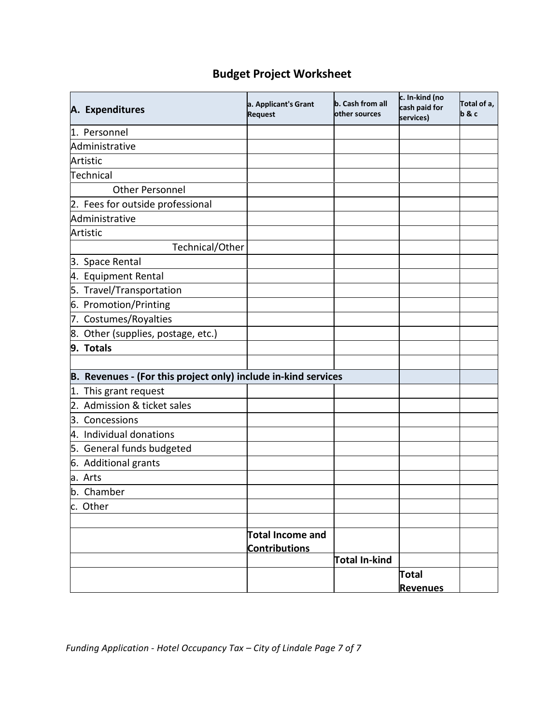## **Budget Project Worksheet**

| A. Expenditures                                                | a. Applicant's Grant<br><b>Request</b> | b. Cash from all<br>lother sources | c. In-kind (no<br>cash paid for<br>services) | Total of a,<br>b & c |
|----------------------------------------------------------------|----------------------------------------|------------------------------------|----------------------------------------------|----------------------|
| 1. Personnel                                                   |                                        |                                    |                                              |                      |
| Administrative                                                 |                                        |                                    |                                              |                      |
| Artistic                                                       |                                        |                                    |                                              |                      |
| Technical                                                      |                                        |                                    |                                              |                      |
| <b>Other Personnel</b>                                         |                                        |                                    |                                              |                      |
| 2. Fees for outside professional                               |                                        |                                    |                                              |                      |
| Administrative                                                 |                                        |                                    |                                              |                      |
| Artistic                                                       |                                        |                                    |                                              |                      |
| Technical/Other                                                |                                        |                                    |                                              |                      |
| 3. Space Rental                                                |                                        |                                    |                                              |                      |
| 4. Equipment Rental                                            |                                        |                                    |                                              |                      |
| 5. Travel/Transportation                                       |                                        |                                    |                                              |                      |
| 6. Promotion/Printing                                          |                                        |                                    |                                              |                      |
| 7. Costumes/Royalties                                          |                                        |                                    |                                              |                      |
| 8. Other (supplies, postage, etc.)                             |                                        |                                    |                                              |                      |
| 9. Totals                                                      |                                        |                                    |                                              |                      |
|                                                                |                                        |                                    |                                              |                      |
| B. Revenues - (For this project only) include in-kind services |                                        |                                    |                                              |                      |
| 1. This grant request                                          |                                        |                                    |                                              |                      |
| 2. Admission & ticket sales                                    |                                        |                                    |                                              |                      |
| 3. Concessions                                                 |                                        |                                    |                                              |                      |
| 4. Individual donations                                        |                                        |                                    |                                              |                      |
| 5. General funds budgeted                                      |                                        |                                    |                                              |                      |
| 6. Additional grants                                           |                                        |                                    |                                              |                      |
| a. Arts                                                        |                                        |                                    |                                              |                      |
| b. Chamber                                                     |                                        |                                    |                                              |                      |
| c. Other                                                       |                                        |                                    |                                              |                      |
|                                                                |                                        |                                    |                                              |                      |
|                                                                | <b>Total Income and</b>                |                                    |                                              |                      |
|                                                                | <b>Contributions</b>                   |                                    |                                              |                      |
|                                                                |                                        | Total In-kind                      |                                              |                      |
|                                                                |                                        |                                    | Total                                        |                      |
|                                                                |                                        |                                    | <b>Revenues</b>                              |                      |

*Funding Application - Hotel Occupancy Tax – City of Lindale Page 7 of 7*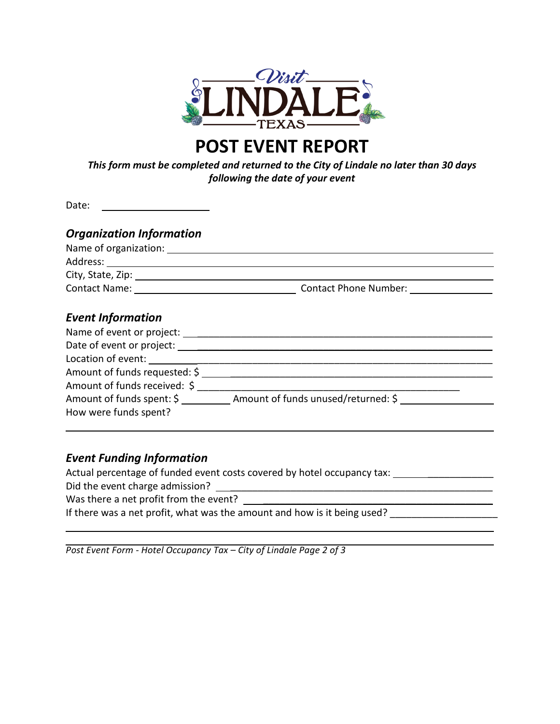

# **POST EVENT REPORT**

*This form must be completed and returned to the City of Lindale no later than 30 days following the date of your event*

Date:

| <b>Organization Information</b>                    |                                             |  |
|----------------------------------------------------|---------------------------------------------|--|
| Name of organization:                              |                                             |  |
|                                                    |                                             |  |
| City, State, Zip: 1988. Express City, State, 2014. |                                             |  |
| <b>Contact Name:</b> The Contact Name:             | Contact Phone Number: National Section 2014 |  |
| <b>Event Information</b>                           |                                             |  |

| Name of event or project:     |                                     |
|-------------------------------|-------------------------------------|
| Date of event or project:     |                                     |
| Location of event: _________  |                                     |
| Amount of funds requested: \$ |                                     |
| Amount of funds received: \$  |                                     |
| Amount of funds spent: \$     | Amount of funds unused/returned: \$ |
| How were funds spent?         |                                     |

### *Event Funding Information*

Actual percentage of funded event costs covered by hotel occupancy tax:

Did the event charge admission? \_\_\_\_\_\_\_\_\_\_\_\_\_\_\_\_\_\_\_\_\_\_\_\_\_\_\_\_\_\_\_\_\_\_\_\_\_\_\_\_\_\_\_\_\_\_\_\_

Was there a net profit from the event?

If there was a net profit, what was the amount and how is it being used?

*Post Event Form - Hotel Occupancy Tax – City of Lindale Page 2 of 3*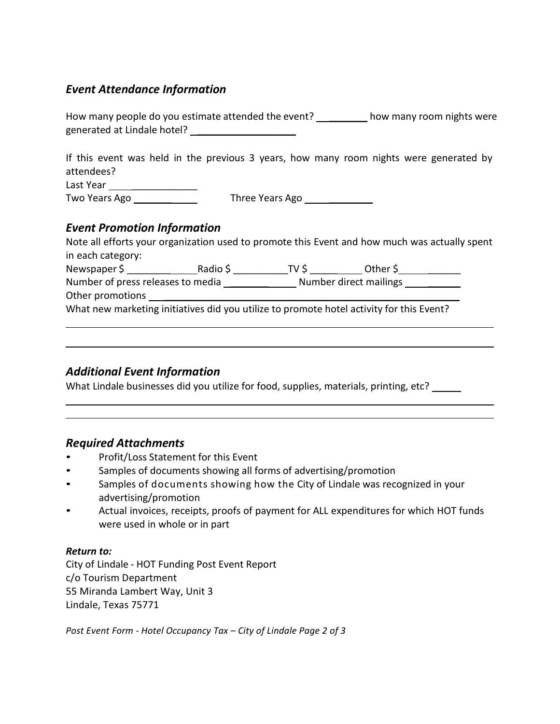### *Event Attendance Information*

How many people do you estimate attended the event? \_\_\_\_\_\_\_\_\_\_ how many room nights were generated at Lindale hotel? \_\_\_\_\_\_\_\_\_\_\_\_\_\_\_\_\_\_

If this event was held in the previous 3 years, how many room nights were generated by attendees?

Last Year Two Years Ago **Three Years Ago Three Years Ago** 

## *Event Promotion Information*

|                   |                                   | Note all efforts your organization used to promote this Event and how much was actually spent                    |  |
|-------------------|-----------------------------------|------------------------------------------------------------------------------------------------------------------|--|
| in each category: |                                   |                                                                                                                  |  |
| Newspaper \$      |                                   | Other \$ the control of the control of the control of the control of the control of the control of the control o |  |
|                   | Number of press releases to media | Number direct mailings                                                                                           |  |
| Other promotions  |                                   |                                                                                                                  |  |
|                   |                                   | What new marketing initiatives did you utilize to promote hotel activity for this Event?                         |  |

### *Additional Event Information*

What Lindale businesses did you utilize for food, supplies, materials, printing, etc? \_\_\_\_\_\_

### *Required Attachments*

- Profit/Loss Statement for this Event
- Samples of documents showing all forms of advertising/promotion
- Samples of documents showing how the City of Lindale was recognized in your advertising/promotion
- Actual invoices, receipts, proofs of payment for ALL expenditures for which HOT funds were used in whole or in part

### *Return to:*

City of Lindale - HOT Funding Post Event Report c/o Tourism Department 55 Miranda Lambert Way, Unit 3 Lindale, Texas 75771

*Post Event Form - Hotel Occupancy Tax – City of Lindale Page 2 of 3*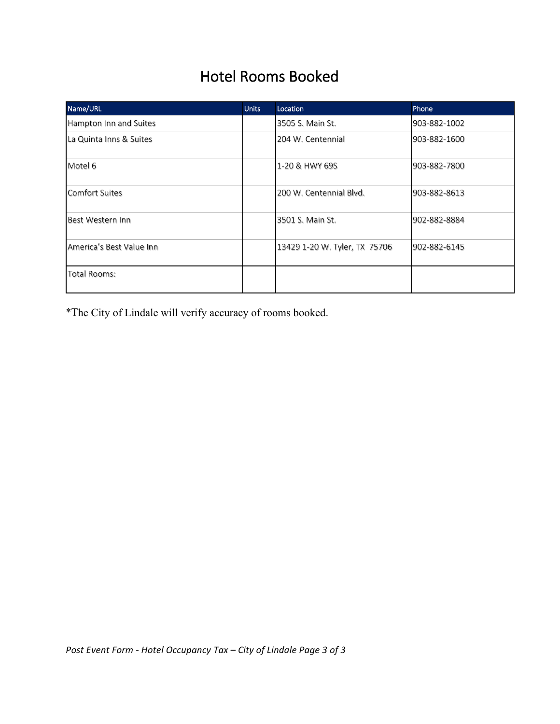# Hotel Rooms Booked

| Name/URL                 | <b>Units</b> | Location                      | Phone        |
|--------------------------|--------------|-------------------------------|--------------|
| Hampton Inn and Suites   |              | 3505 S. Main St.              | 903-882-1002 |
| La Quinta Inns & Suites  |              | 204 W. Centennial             | 903-882-1600 |
| Motel 6                  |              | 1-20 & HWY 69S                | 903-882-7800 |
| <b>Comfort Suites</b>    |              | 200 W. Centennial Blvd.       | 903-882-8613 |
| Best Western Inn         |              | 3501 S. Main St.              | 902-882-8884 |
| America's Best Value Inn |              | 13429 1-20 W. Tyler, TX 75706 | 902-882-6145 |
| Total Rooms:             |              |                               |              |

\*The City of Lindale will verify accuracy of rooms booked.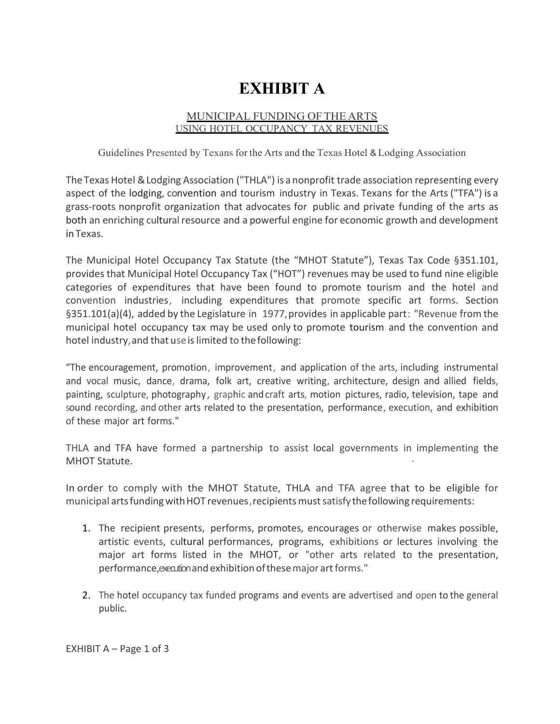# **EXHIBIT A**

### MUNICIPAL FUNDING OFTHE ARTS USING HOTEL OCCUPANCY TAX REVENUES

Guidelines Presented by Texans for the Arts and the Texas Hotel & Lodging Association

The Texas Hotel & Lodging Association ("THLA") is a nonprofit trade association representing every aspect of the lodging, convention and tourism industry in Texas. Texans for the Arts ("TFA") is a grass-roots nonprofit organization that advocates for public and private funding of the arts as both an enriching cultural resource and a powerful engine for economic growth and development in Texas.

The Municipal Hotel Occupancy Tax Statute (the "MHOT Statute"), Texas Tax Code §351.101, provides that Municipal Hotel Occupancy Tax ("HOT") revenues may be used to fund nine eligible categories of expenditures that have been found to promote tourism and the hotel and convention industries, including expenditures that promote specific art forms. Section §351.101(a)(4), added by the Legislature in 1977,provides in applicable part: "Revenue from the municipal hotel occupancy tax may be used only to promote tourism and the convention and hotel industry, and that use is limited to the following:

"The encouragement, promotion, improvement, and application of the arts, including instrumental and vocal music, dance, drama, folk art, creative writing, architecture, design and allied fields, painting, sculpture, photography, graphic and craft arts, motion pictures, radio, television, tape and sound recording, and other arts related to the presentation, performance, execution, and exhibition of these major art forms."

THLA and TFA have formed a partnership to assist local governments in implementing the MHOT Statute.

In order to comply with the MHOT Statute, THLA and TFA agree that to be eligible for municipal arts funding with HOT revenues, recipients must satisfy the following requirements:

- 1. The recipient presents, performs, promotes, encourages or otherwise makes possible, artistic events, cultural performances, programs, exhibitions or lectures involving the major art forms listed in the MHOT, or "other arts related to the presentation, performance, execution and exhibition of these major art forms."
- 2. The hotel occupancy tax funded programs and events are advertised and open to the general public.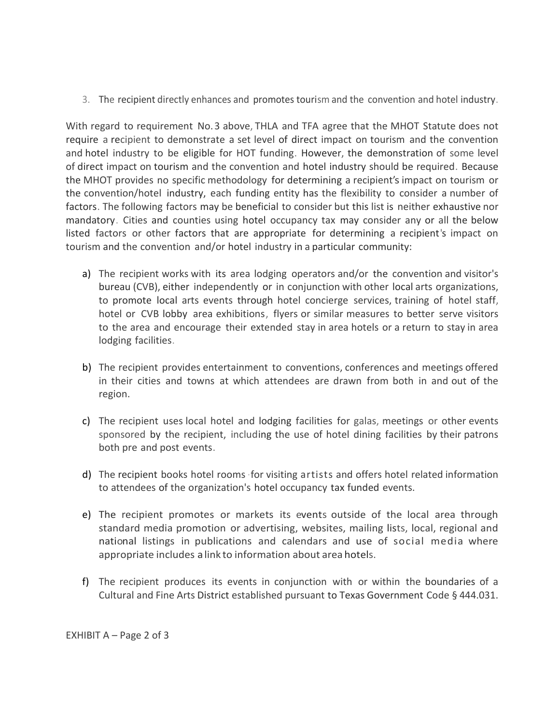3. The recipient directly enhances and promotes tourism and the convention and hotel industry.

With regard to requirement No.3 above, THLA and TFA agree that the MHOT Statute does not require a recipient to demonstrate a set level of direct impact on tourism and the convention and hotel industry to be eligible for HOT funding. However, the demonstration of some level of direct impact on tourism and the convention and hotel industry should be required. Because the MHOT provides no specific methodology for determining a recipient's impact on tourism or the convention/hotel industry, each funding entity has the flexibility to consider a number of factors. The following factors may be beneficial to consider but this list is neither exhaustive nor mandatory. Cities and counties using hotel occupancy tax may consider any or all the below listed factors or other factors that are appropriate for determining a recipient's impact on tourism and the convention and/or hotel industry in a particular community:

- a) The recipient works with its area lodging operators and/or the convention and visitor's bureau (CVB), either independently or in conjunction with other local arts organizations, to promote local arts events through hotel concierge services, training of hotel staff, hotel or CVB lobby area exhibitions, flyers or similar measures to better serve visitors to the area and encourage their extended stay in area hotels or a return to stay in area lodging facilities.
- b) The recipient provides entertainment to conventions, conferences and meetings offered in their cities and towns at which attendees are drawn from both in and out of the region.
- c) The recipient uses local hotel and lodging facilities for galas, meetings or other events sponsored by the recipient, including the use of hotel dining facilities by their patrons both pre and post events.
- d) The recipient books hotel rooms·for visiting artists and offers hotel related information to attendees of the organization's hotel occupancy tax funded events.
- e) The recipient promotes or markets its events outside of the local area through standard media promotion or advertising, websites, mailing lists, local, regional and national listings in publications and calendars and use of social media where appropriate includes a link to information about area hotels.
- f) The recipient produces its events in conjunction with or within the boundaries of a Cultural and Fine Arts District established pursuant to Texas Government Code § 444.031.